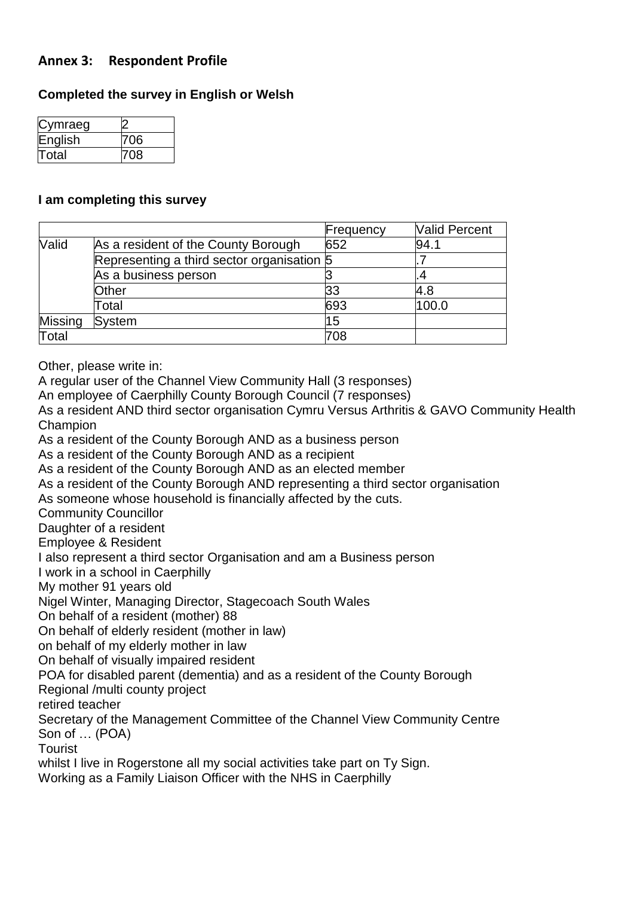### **Annex 3: Respondent Profile**

### **Completed the survey in English or Welsh**

| Cymraeg |     |
|---------|-----|
| English | 706 |
| Total   | 708 |

#### **I am completing this survey**

|                                                     |                                            | Frequency | <b>Valid Percent</b> |
|-----------------------------------------------------|--------------------------------------------|-----------|----------------------|
| <b>Valid</b><br>As a resident of the County Borough |                                            | 652       | 94.1                 |
|                                                     | Representing a third sector organisation 5 |           |                      |
|                                                     | As a business person                       |           |                      |
|                                                     | Other                                      | 33        | 4.8                  |
|                                                     | Total                                      | 693       | 100.0                |
| Missing                                             | <b>System</b>                              | 15        |                      |
| Total                                               |                                            | 708       |                      |

Other, please write in:

A regular user of the Channel View Community Hall (3 responses)

An employee of Caerphilly County Borough Council (7 responses)

As a resident AND third sector organisation Cymru Versus Arthritis & GAVO Community Health Champion

As a resident of the County Borough AND as a business person

As a resident of the County Borough AND as a recipient

As a resident of the County Borough AND as an elected member

As a resident of the County Borough AND representing a third sector organisation

As someone whose household is financially affected by the cuts.

Community Councillor

Daughter of a resident

Employee & Resident

I also represent a third sector Organisation and am a Business person

I work in a school in Caerphilly

My mother 91 years old

Nigel Winter, Managing Director, Stagecoach South Wales

On behalf of a resident (mother) 88

On behalf of elderly resident (mother in law)

on behalf of my elderly mother in law

On behalf of visually impaired resident

POA for disabled parent (dementia) and as a resident of the County Borough

Regional /multi county project

retired teacher

Secretary of the Management Committee of the Channel View Community Centre Son of … (POA)

Tourist

whilst I live in Rogerstone all my social activities take part on Ty Sign.

Working as a Family Liaison Officer with the NHS in Caerphilly